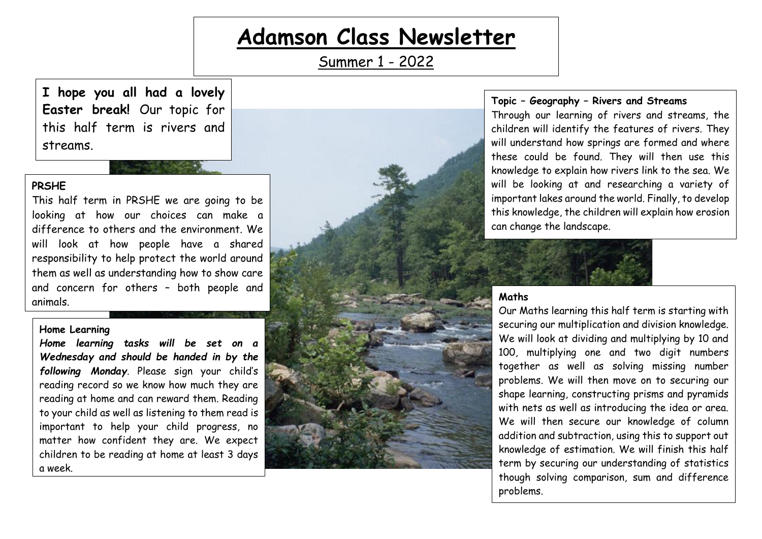# **Adamson Class Newsletter**

Summer 1 - 2022

**I hope you all had a lovely Easter break!** Our topic for this half term is rivers and streams.

### **PRSHE**

This half term in PRSHE we are going to be looking at how our choices can make a difference to others and the environment. We will look at how people have a shared responsibility to help protect the world around them as well as understanding how to show care and concern for others – both people and animals. **Maths**

#### **Home Learning**

*Home learning tasks will be set on a Wednesday and should be handed in by the following Monday.* Please sign your child's reading record so we know how much they are reading at home and can reward them. Reading to your child as well as listening to them read is important to help your child progress, no matter how confident they are. We expect children to be reading at home at least 3 days a week.



#### **Topic – Geography – Rivers and Streams**

Through our learning of rivers and streams, the children will identify the features of rivers. They will understand how springs are formed and where these could be found. They will then use this knowledge to explain how rivers link to the sea. We will be looking at and researching a variety of important lakes around the world. Finally, to develop this knowledge, the children will explain how erosion can change the landscape.



Our Maths learning this half term is starting with securing our multiplication and division knowledge. We will look at dividing and multiplying by 10 and 100, multiplying one and two digit numbers together as well as solving missing number problems. We will then move on to securing our shape learning, constructing prisms and pyramids with nets as well as introducing the idea or area. We will then secure our knowledge of column addition and subtraction, using this to support out knowledge of estimation. We will finish this half term by securing our understanding of statistics though solving comparison, sum and difference problems.